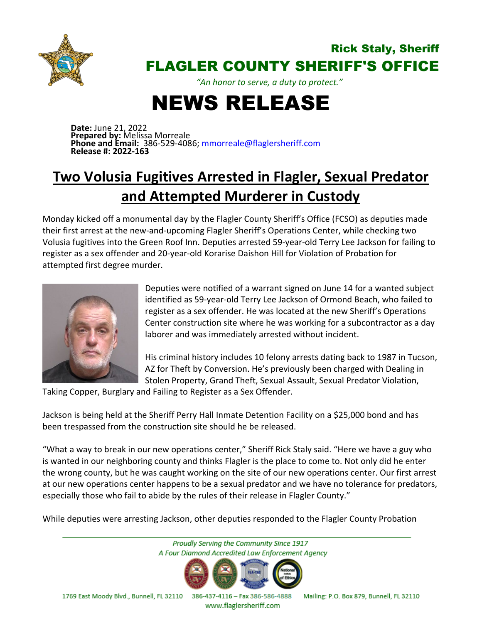

## Rick Staly, Sheriff FLAGLER COUNTY SHERIFF'S OFFICE

*"An honor to serve, a duty to protect."*

## NEWS RELEASE

**Date:** June 21, 2022 **Prepared by:** Melissa Morreale **Phone and Email:** 386-529-4086; [mmorreale@flaglersheriff.com](mailto:mmorreale@flaglersheriff.com) **Release #: 2022-163**

## **Two Volusia Fugitives Arrested in Flagler, Sexual Predator and Attempted Murderer in Custody**

Monday kicked off a monumental day by the Flagler County Sheriff's Office (FCSO) as deputies made their first arrest at the new-and-upcoming Flagler Sheriff's Operations Center, while checking two Volusia fugitives into the Green Roof Inn. Deputies arrested 59-year-old Terry Lee Jackson for failing to register as a sex offender and 20-year-old Korarise Daishon Hill for Violation of Probation for attempted first degree murder.



Deputies were notified of a warrant signed on June 14 for a wanted subject identified as 59-year-old Terry Lee Jackson of Ormond Beach, who failed to register as a sex offender. He was located at the new Sheriff's Operations Center construction site where he was working for a subcontractor as a day laborer and was immediately arrested without incident.

His criminal history includes 10 felony arrests dating back to 1987 in Tucson, AZ for Theft by Conversion. He's previously been charged with Dealing in Stolen Property, Grand Theft, Sexual Assault, Sexual Predator Violation,

Taking Copper, Burglary and Failing to Register as a Sex Offender.

Jackson is being held at the Sheriff Perry Hall Inmate Detention Facility on a \$25,000 bond and has been trespassed from the construction site should he be released.

"What a way to break in our new operations center," Sheriff Rick Staly said. "Here we have a guy who is wanted in our neighboring county and thinks Flagler is the place to come to. Not only did he enter the wrong county, but he was caught working on the site of our new operations center. Our first arrest at our new operations center happens to be a sexual predator and we have no tolerance for predators, especially those who fail to abide by the rules of their release in Flagler County."

While deputies were arresting Jackson, other deputies responded to the Flagler County Probation



www.flaglersheriff.com